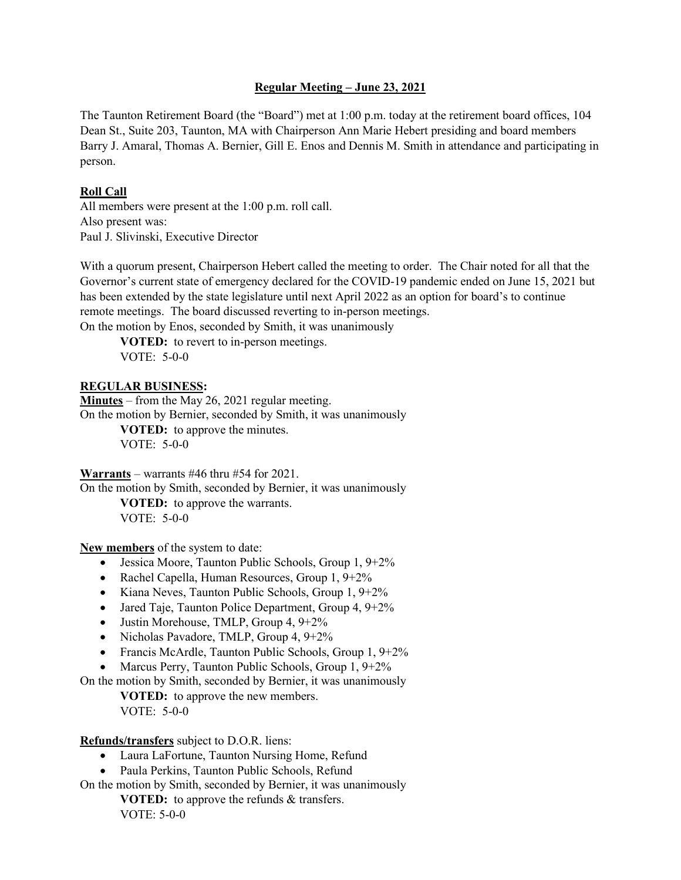## **Regular Meeting – June 23, 2021**

The Taunton Retirement Board (the "Board") met at 1:00 p.m. today at the retirement board offices, 104 Dean St., Suite 203, Taunton, MA with Chairperson Ann Marie Hebert presiding and board members Barry J. Amaral, Thomas A. Bernier, Gill E. Enos and Dennis M. Smith in attendance and participating in person.

# **Roll Call**

All members were present at the 1:00 p.m. roll call. Also present was: Paul J. Slivinski, Executive Director

With a quorum present, Chairperson Hebert called the meeting to order. The Chair noted for all that the Governor's current state of emergency declared for the COVID-19 pandemic ended on June 15, 2021 but has been extended by the state legislature until next April 2022 as an option for board's to continue remote meetings. The board discussed reverting to in-person meetings. On the motion by Enos, seconded by Smith, it was unanimously

**VOTED:** to revert to in-person meetings. VOTE: 5-0-0

# **REGULAR BUSINESS:**

**Minutes** – from the May 26, 2021 regular meeting. On the motion by Bernier, seconded by Smith, it was unanimously **VOTED:** to approve the minutes. VOTE: 5-0-0

**Warrants** – warrants #46 thru #54 for 2021.

On the motion by Smith, seconded by Bernier, it was unanimously **VOTED:** to approve the warrants. VOTE: 5-0-0

**New members** of the system to date:

- Jessica Moore, Taunton Public Schools, Group 1, 9+2%
- Rachel Capella, Human Resources, Group 1, 9+2%
- Kiana Neves, Taunton Public Schools, Group 1, 9+2%
- Jared Taje, Taunton Police Department, Group 4, 9+2%
- Justin Morehouse, TMLP, Group 4, 9+2%
- Nicholas Pavadore, TMLP, Group 4, 9+2%
- Francis McArdle, Taunton Public Schools, Group 1, 9+2%
- Marcus Perry, Taunton Public Schools, Group 1, 9+2%

On the motion by Smith, seconded by Bernier, it was unanimously

**VOTED:** to approve the new members. VOTE: 5-0-0

### **Refunds/transfers** subject to D.O.R. liens:

- Laura LaFortune, Taunton Nursing Home, Refund
- Paula Perkins, Taunton Public Schools, Refund
- On the motion by Smith, seconded by Bernier, it was unanimously **VOTED:** to approve the refunds & transfers. VOTE: 5-0-0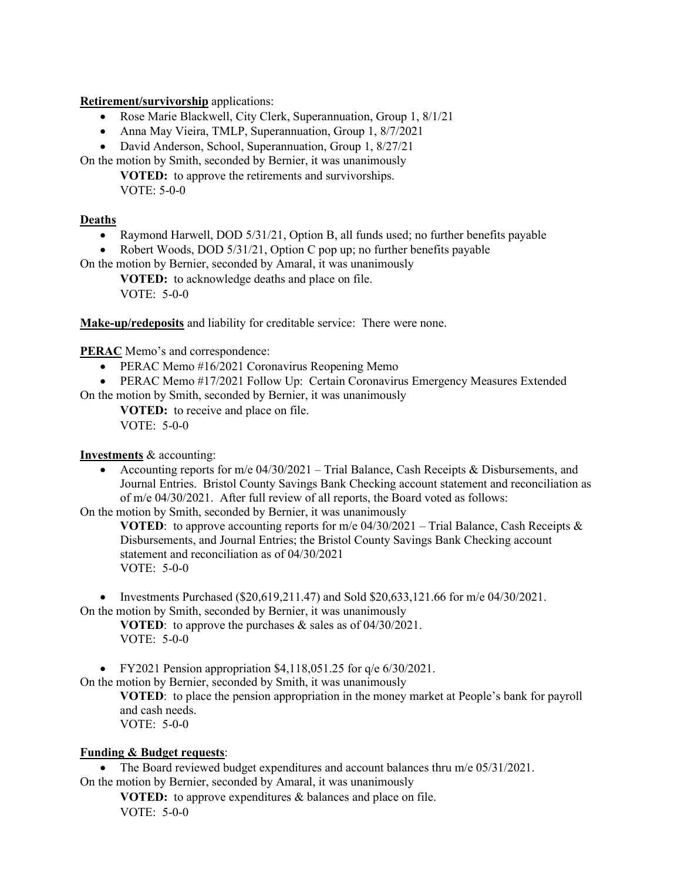**Retirement/survivorship** applications:

- Rose Marie Blackwell, City Clerk, Superannuation, Group 1, 8/1/21
- Anna May Vieira, TMLP, Superannuation, Group 1, 8/7/2021
- David Anderson, School, Superannuation, Group 1, 8/27/21

On the motion by Smith, seconded by Bernier, it was unanimously **VOTED:** to approve the retirements and survivorships.

VOTE: 5-0-0

## **Deaths**

- Raymond Harwell, DOD 5/31/21, Option B, all funds used; no further benefits payable
- Robert Woods, DOD 5/31/21, Option C pop up; no further benefits payable

On the motion by Bernier, seconded by Amaral, it was unanimously

**VOTED:** to acknowledge deaths and place on file. VOTE: 5-0-0

**Make-up/redeposits** and liability for creditable service: There were none.

**PERAC** Memo's and correspondence:

• PERAC Memo #16/2021 Coronavirus Reopening Memo

• PERAC Memo #17/2021 Follow Up: Certain Coronavirus Emergency Measures Extended On the motion by Smith, seconded by Bernier, it was unanimously

**VOTED:** to receive and place on file.

VOTE: 5-0-0

**Investments** & accounting:

• Accounting reports for m/e 04/30/2021 – Trial Balance, Cash Receipts & Disbursements, and Journal Entries. Bristol County Savings Bank Checking account statement and reconciliation as of m/e 04/30/2021. After full review of all reports, the Board voted as follows:

On the motion by Smith, seconded by Bernier, it was unanimously

**VOTED:** to approve accounting reports for m/e  $04/30/2021$  – Trial Balance, Cash Receipts & Disbursements, and Journal Entries; the Bristol County Savings Bank Checking account statement and reconciliation as of 04/30/2021 VOTE: 5-0-0

• Investments Purchased (\$20,619,211.47) and Sold \$20,633,121.66 for  $m/e$  04/30/2021. On the motion by Smith, seconded by Bernier, it was unanimously

**VOTED**: to approve the purchases & sales as of 04/30/2021. VOTE: 5-0-0

• FY2021 Pension appropriation  $$4,118,051.25$  for  $q/e 6/30/2021$ .

On the motion by Bernier, seconded by Smith, it was unanimously

**VOTED**: to place the pension appropriation in the money market at People's bank for payroll and cash needs. VOTE: 5-0-0

### **Funding & Budget requests**:

• The Board reviewed budget expenditures and account balances thru m/e 05/31/2021. On the motion by Bernier, seconded by Amaral, it was unanimously

**VOTED:** to approve expenditures & balances and place on file. VOTE: 5-0-0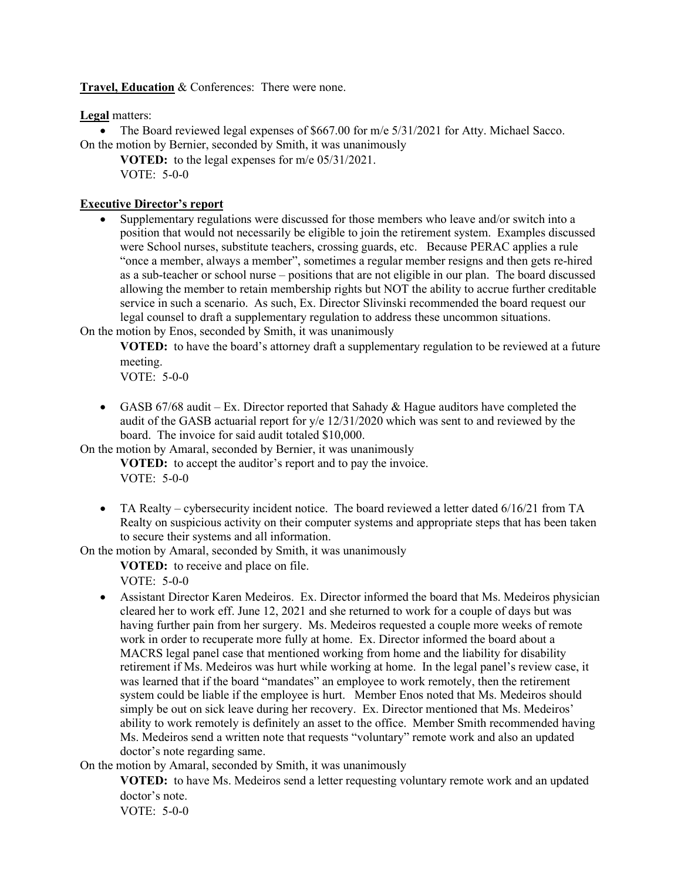**Travel, Education** & Conferences: There were none.

**Legal** matters:

• The Board reviewed legal expenses of \$667.00 for m/e 5/31/2021 for Atty. Michael Sacco. On the motion by Bernier, seconded by Smith, it was unanimously

**VOTED:** to the legal expenses for m/e 05/31/2021. VOTE: 5-0-0

# **Executive Director's report**

• Supplementary regulations were discussed for those members who leave and/or switch into a position that would not necessarily be eligible to join the retirement system. Examples discussed were School nurses, substitute teachers, crossing guards, etc. Because PERAC applies a rule "once a member, always a member", sometimes a regular member resigns and then gets re-hired as a sub-teacher or school nurse – positions that are not eligible in our plan. The board discussed allowing the member to retain membership rights but NOT the ability to accrue further creditable service in such a scenario. As such, Ex. Director Slivinski recommended the board request our legal counsel to draft a supplementary regulation to address these uncommon situations.

On the motion by Enos, seconded by Smith, it was unanimously

**VOTED:** to have the board's attorney draft a supplementary regulation to be reviewed at a future meeting.

VOTE: 5-0-0

• GASB 67/68 audit – Ex. Director reported that Sahady  $\&$  Hague auditors have completed the audit of the GASB actuarial report for y/e 12/31/2020 which was sent to and reviewed by the board. The invoice for said audit totaled \$10,000.

On the motion by Amaral, seconded by Bernier, it was unanimously

**VOTED:** to accept the auditor's report and to pay the invoice. VOTE: 5-0-0

• TA Realty – cybersecurity incident notice. The board reviewed a letter dated 6/16/21 from TA Realty on suspicious activity on their computer systems and appropriate steps that has been taken to secure their systems and all information.

On the motion by Amaral, seconded by Smith, it was unanimously

**VOTED:** to receive and place on file. VOTE: 5-0-0

• Assistant Director Karen Medeiros. Ex. Director informed the board that Ms. Medeiros physician cleared her to work eff. June 12, 2021 and she returned to work for a couple of days but was having further pain from her surgery. Ms. Medeiros requested a couple more weeks of remote work in order to recuperate more fully at home. Ex. Director informed the board about a MACRS legal panel case that mentioned working from home and the liability for disability retirement if Ms. Medeiros was hurt while working at home. In the legal panel's review case, it was learned that if the board "mandates" an employee to work remotely, then the retirement system could be liable if the employee is hurt. Member Enos noted that Ms. Medeiros should simply be out on sick leave during her recovery. Ex. Director mentioned that Ms. Medeiros' ability to work remotely is definitely an asset to the office. Member Smith recommended having Ms. Medeiros send a written note that requests "voluntary" remote work and also an updated doctor's note regarding same.

On the motion by Amaral, seconded by Smith, it was unanimously

**VOTED:** to have Ms. Medeiros send a letter requesting voluntary remote work and an updated doctor's note.

VOTE: 5-0-0